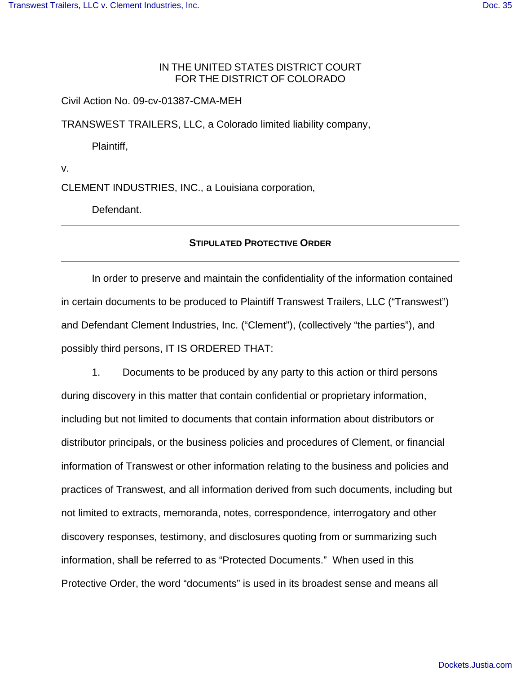## IN THE UNITED STATES DISTRICT COURT FOR THE DISTRICT OF COLORADO

Civil Action No. 09-cv-01387-CMA-MEH

TRANSWEST TRAILERS, LLC, a Colorado limited liability company,

Plaintiff,

v.

CLEMENT INDUSTRIES, INC., a Louisiana corporation,

Defendant.

### **STIPULATED PROTECTIVE ORDER**

In order to preserve and maintain the confidentiality of the information contained in certain documents to be produced to Plaintiff Transwest Trailers, LLC ("Transwest") and Defendant Clement Industries, Inc. ("Clement"), (collectively "the parties"), and possibly third persons, IT IS ORDERED THAT:

1. Documents to be produced by any party to this action or third persons during discovery in this matter that contain confidential or proprietary information, including but not limited to documents that contain information about distributors or distributor principals, or the business policies and procedures of Clement, or financial information of Transwest or other information relating to the business and policies and practices of Transwest, and all information derived from such documents, including but not limited to extracts, memoranda, notes, correspondence, interrogatory and other discovery responses, testimony, and disclosures quoting from or summarizing such information, shall be referred to as "Protected Documents." When used in this Protective Order, the word "documents" is used in its broadest sense and means all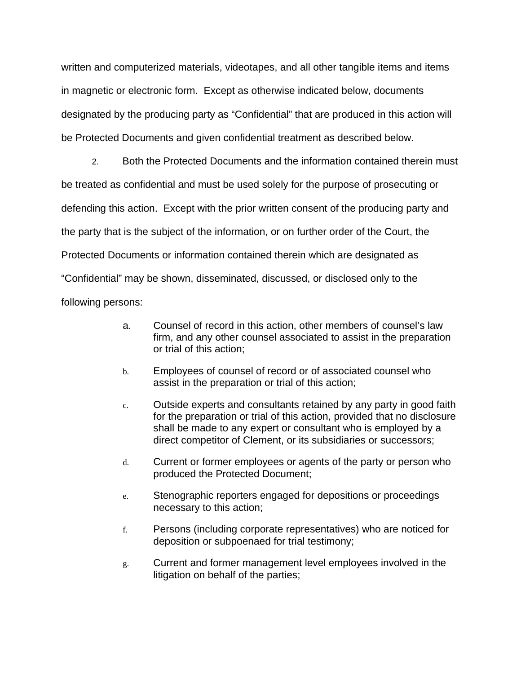written and computerized materials, videotapes, and all other tangible items and items in magnetic or electronic form. Except as otherwise indicated below, documents designated by the producing party as "Confidential" that are produced in this action will be Protected Documents and given confidential treatment as described below.

2. Both the Protected Documents and the information contained therein must be treated as confidential and must be used solely for the purpose of prosecuting or defending this action. Except with the prior written consent of the producing party and the party that is the subject of the information, or on further order of the Court, the Protected Documents or information contained therein which are designated as "Confidential" may be shown, disseminated, discussed, or disclosed only to the following persons:

- a. Counsel of record in this action, other members of counsel's law firm, and any other counsel associated to assist in the preparation or trial of this action;
- b. Employees of counsel of record or of associated counsel who assist in the preparation or trial of this action;
- c. Outside experts and consultants retained by any party in good faith for the preparation or trial of this action, provided that no disclosure shall be made to any expert or consultant who is employed by a direct competitor of Clement, or its subsidiaries or successors;
- d. Current or former employees or agents of the party or person who produced the Protected Document;
- e. Stenographic reporters engaged for depositions or proceedings necessary to this action;
- f. Persons (including corporate representatives) who are noticed for deposition or subpoenaed for trial testimony;
- g. Current and former management level employees involved in the litigation on behalf of the parties;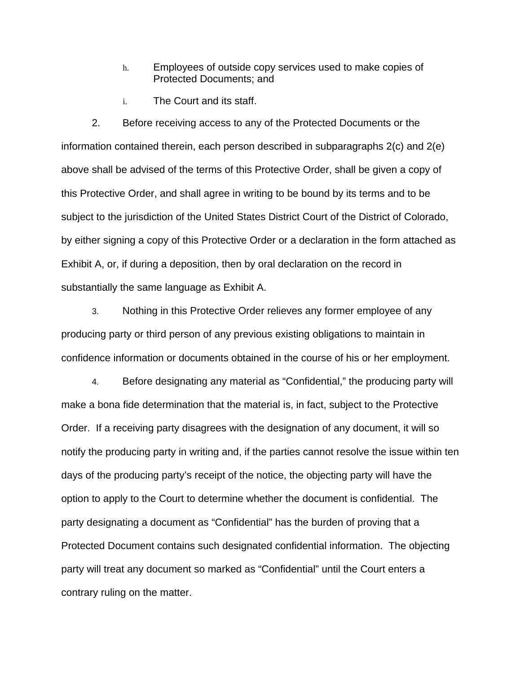- h. Employees of outside copy services used to make copies of Protected Documents; and
- i. The Court and its staff.

2. Before receiving access to any of the Protected Documents or the information contained therein, each person described in subparagraphs 2(c) and 2(e) above shall be advised of the terms of this Protective Order, shall be given a copy of this Protective Order, and shall agree in writing to be bound by its terms and to be subject to the jurisdiction of the United States District Court of the District of Colorado, by either signing a copy of this Protective Order or a declaration in the form attached as Exhibit A, or, if during a deposition, then by oral declaration on the record in substantially the same language as Exhibit A.

3. Nothing in this Protective Order relieves any former employee of any producing party or third person of any previous existing obligations to maintain in confidence information or documents obtained in the course of his or her employment.

4. Before designating any material as "Confidential," the producing party will make a bona fide determination that the material is, in fact, subject to the Protective Order. If a receiving party disagrees with the designation of any document, it will so notify the producing party in writing and, if the parties cannot resolve the issue within ten days of the producing party's receipt of the notice, the objecting party will have the option to apply to the Court to determine whether the document is confidential. The party designating a document as "Confidential" has the burden of proving that a Protected Document contains such designated confidential information. The objecting party will treat any document so marked as "Confidential" until the Court enters a contrary ruling on the matter.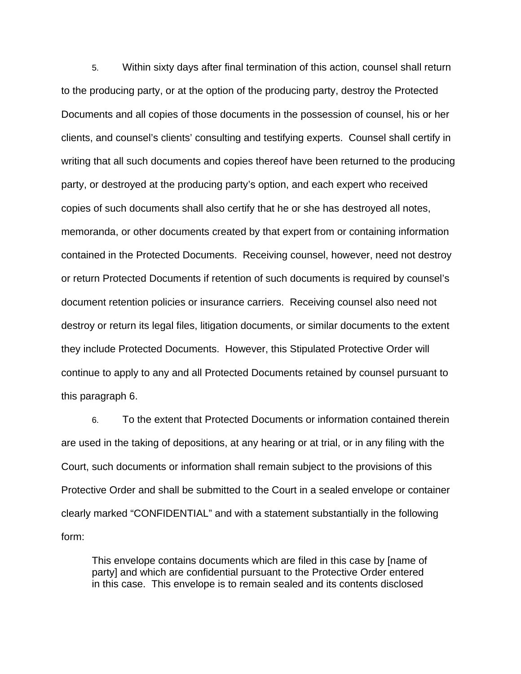5. Within sixty days after final termination of this action, counsel shall return to the producing party, or at the option of the producing party, destroy the Protected Documents and all copies of those documents in the possession of counsel, his or her clients, and counsel's clients' consulting and testifying experts. Counsel shall certify in writing that all such documents and copies thereof have been returned to the producing party, or destroyed at the producing party's option, and each expert who received copies of such documents shall also certify that he or she has destroyed all notes, memoranda, or other documents created by that expert from or containing information contained in the Protected Documents. Receiving counsel, however, need not destroy or return Protected Documents if retention of such documents is required by counsel's document retention policies or insurance carriers. Receiving counsel also need not destroy or return its legal files, litigation documents, or similar documents to the extent they include Protected Documents. However, this Stipulated Protective Order will continue to apply to any and all Protected Documents retained by counsel pursuant to this paragraph 6.

6. To the extent that Protected Documents or information contained therein are used in the taking of depositions, at any hearing or at trial, or in any filing with the Court, such documents or information shall remain subject to the provisions of this Protective Order and shall be submitted to the Court in a sealed envelope or container clearly marked "CONFIDENTIAL" and with a statement substantially in the following form:

This envelope contains documents which are filed in this case by [name of party] and which are confidential pursuant to the Protective Order entered in this case. This envelope is to remain sealed and its contents disclosed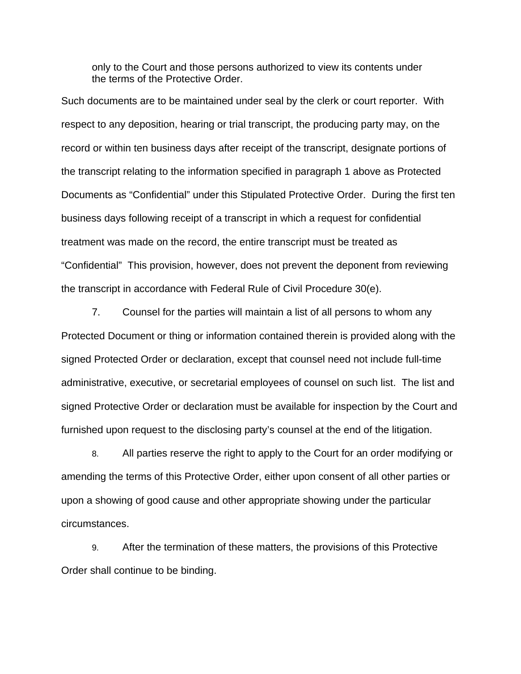only to the Court and those persons authorized to view its contents under the terms of the Protective Order.

Such documents are to be maintained under seal by the clerk or court reporter. With respect to any deposition, hearing or trial transcript, the producing party may, on the record or within ten business days after receipt of the transcript, designate portions of the transcript relating to the information specified in paragraph 1 above as Protected Documents as "Confidential" under this Stipulated Protective Order. During the first ten business days following receipt of a transcript in which a request for confidential treatment was made on the record, the entire transcript must be treated as "Confidential" This provision, however, does not prevent the deponent from reviewing the transcript in accordance with Federal Rule of Civil Procedure 30(e).

7. Counsel for the parties will maintain a list of all persons to whom any Protected Document or thing or information contained therein is provided along with the signed Protected Order or declaration, except that counsel need not include full-time administrative, executive, or secretarial employees of counsel on such list. The list and signed Protective Order or declaration must be available for inspection by the Court and furnished upon request to the disclosing party's counsel at the end of the litigation.

8. All parties reserve the right to apply to the Court for an order modifying or amending the terms of this Protective Order, either upon consent of all other parties or upon a showing of good cause and other appropriate showing under the particular circumstances.

9. After the termination of these matters, the provisions of this Protective Order shall continue to be binding.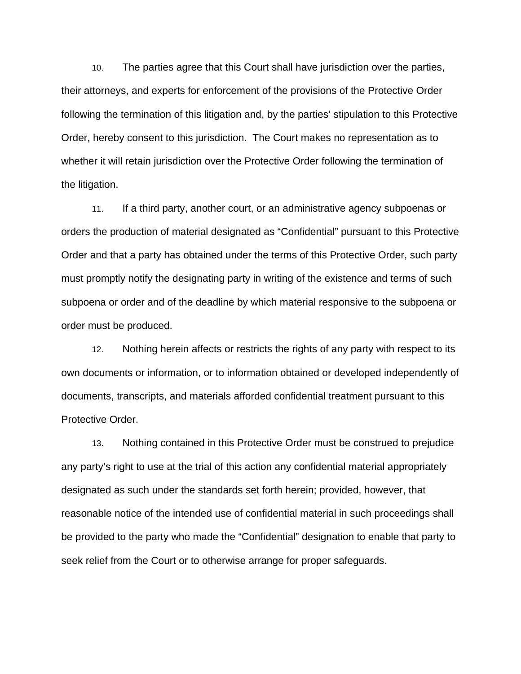10. The parties agree that this Court shall have jurisdiction over the parties, their attorneys, and experts for enforcement of the provisions of the Protective Order following the termination of this litigation and, by the parties' stipulation to this Protective Order, hereby consent to this jurisdiction. The Court makes no representation as to whether it will retain jurisdiction over the Protective Order following the termination of the litigation.

11. If a third party, another court, or an administrative agency subpoenas or orders the production of material designated as "Confidential" pursuant to this Protective Order and that a party has obtained under the terms of this Protective Order, such party must promptly notify the designating party in writing of the existence and terms of such subpoena or order and of the deadline by which material responsive to the subpoena or order must be produced.

12. Nothing herein affects or restricts the rights of any party with respect to its own documents or information, or to information obtained or developed independently of documents, transcripts, and materials afforded confidential treatment pursuant to this Protective Order.

13. Nothing contained in this Protective Order must be construed to prejudice any party's right to use at the trial of this action any confidential material appropriately designated as such under the standards set forth herein; provided, however, that reasonable notice of the intended use of confidential material in such proceedings shall be provided to the party who made the "Confidential" designation to enable that party to seek relief from the Court or to otherwise arrange for proper safeguards.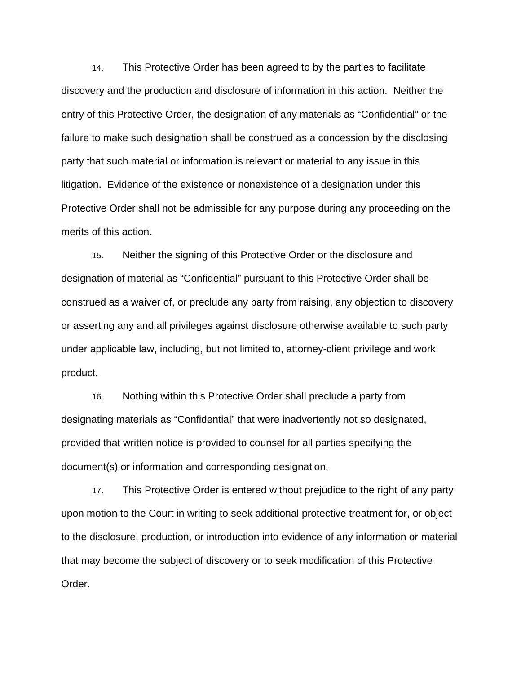14. This Protective Order has been agreed to by the parties to facilitate discovery and the production and disclosure of information in this action. Neither the entry of this Protective Order, the designation of any materials as "Confidential" or the failure to make such designation shall be construed as a concession by the disclosing party that such material or information is relevant or material to any issue in this litigation. Evidence of the existence or nonexistence of a designation under this Protective Order shall not be admissible for any purpose during any proceeding on the merits of this action.

15. Neither the signing of this Protective Order or the disclosure and designation of material as "Confidential" pursuant to this Protective Order shall be construed as a waiver of, or preclude any party from raising, any objection to discovery or asserting any and all privileges against disclosure otherwise available to such party under applicable law, including, but not limited to, attorney-client privilege and work product.

16. Nothing within this Protective Order shall preclude a party from designating materials as "Confidential" that were inadvertently not so designated, provided that written notice is provided to counsel for all parties specifying the document(s) or information and corresponding designation.

17. This Protective Order is entered without prejudice to the right of any party upon motion to the Court in writing to seek additional protective treatment for, or object to the disclosure, production, or introduction into evidence of any information or material that may become the subject of discovery or to seek modification of this Protective Order.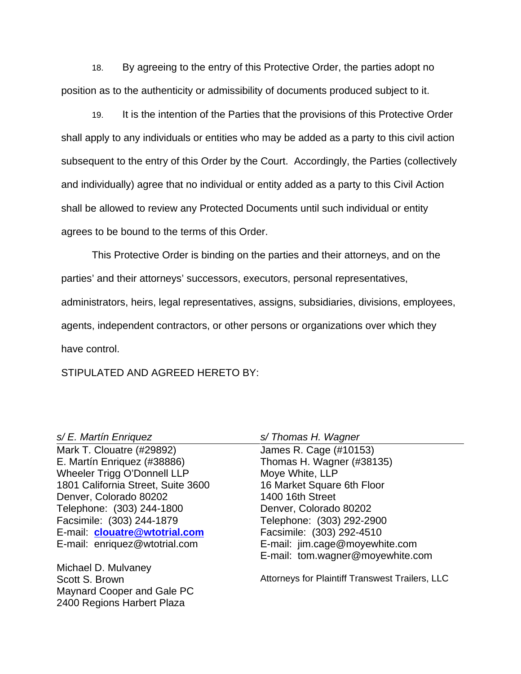18. By agreeing to the entry of this Protective Order, the parties adopt no position as to the authenticity or admissibility of documents produced subject to it.

19. It is the intention of the Parties that the provisions of this Protective Order shall apply to any individuals or entities who may be added as a party to this civil action subsequent to the entry of this Order by the Court. Accordingly, the Parties (collectively and individually) agree that no individual or entity added as a party to this Civil Action shall be allowed to review any Protected Documents until such individual or entity agrees to be bound to the terms of this Order.

This Protective Order is binding on the parties and their attorneys, and on the parties' and their attorneys' successors, executors, personal representatives, administrators, heirs, legal representatives, assigns, subsidiaries, divisions, employees, agents, independent contractors, or other persons or organizations over which they have control.

STIPULATED AND AGREED HERETO BY:

#### s/ E. Martín Enriquez

Mark T. Clouatre (#29892) E. Martín Enriquez (#38886) Wheeler Trigg O'Donnell LLP 1801 California Street, Suite 3600 Denver, Colorado 80202 Telephone: (303) 244-1800 Facsimile: (303) 244-1879 E-mail: **clouatre@wtotrial.com** E-mail: enriquez@wtotrial.com

Michael D. Mulvaney Scott S. Brown Maynard Cooper and Gale PC 2400 Regions Harbert Plaza

s/ Thomas H. Wagner

James R. Cage (#10153) Thomas H. Wagner (#38135) Moye White, LLP 16 Market Square 6th Floor 1400 16th Street Denver, Colorado 80202 Telephone: (303) 292-2900 Facsimile: (303) 292-4510 E-mail: jim.cage@moyewhite.com E-mail: tom.wagner@moyewhite.com

Attorneys for Plaintiff Transwest Trailers, LLC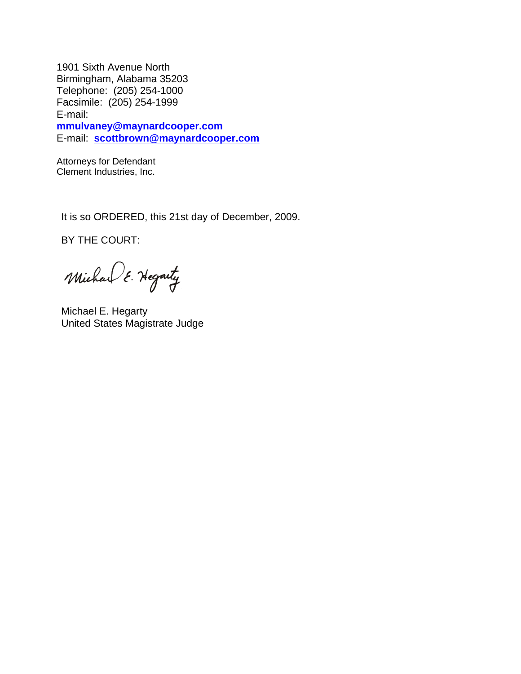1901 Sixth Avenue North Birmingham, Alabama 35203 Telephone: (205) 254-1000 Facsimile: (205) 254-1999 E-mail: **mmulvaney@maynardcooper.com** E-mail: **scottbrown@maynardcooper.com**

Attorneys for Defendant Clement Industries, Inc.

It is so ORDERED, this 21st day of December, 2009.

BY THE COURT:

Michael E. Hegarty

Michael E. Hegarty United States Magistrate Judge